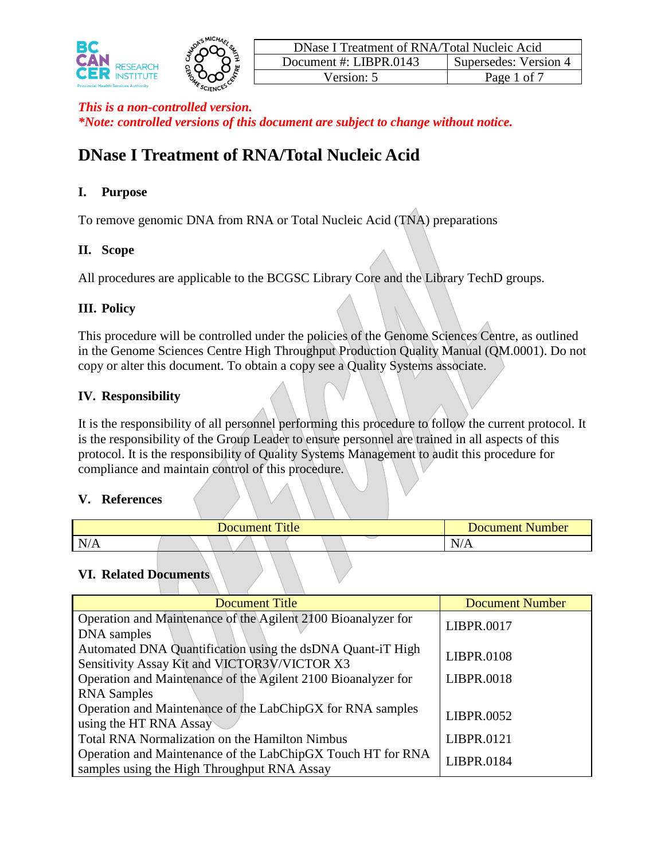



# **DNase I Treatment of RNA/Total Nucleic Acid**

### **I. Purpose**

To remove genomic DNA from RNA or Total Nucleic Acid (TNA) preparations

## **II. Scope**

All procedures are applicable to the BCGSC Library Core and the Library TechD groups.

# **III. Policy**

This procedure will be controlled under the policies of the Genome Sciences Centre, as outlined in the Genome Sciences Centre High Throughput Production Quality Manual (QM.0001). Do not copy or alter this document. To obtain a copy see a Quality Systems associate.

# **IV. Responsibility**

It is the responsibility of all personnel performing this procedure to follow the current protocol. It is the responsibility of the Group Leader to ensure personnel are trained in all aspects of this protocol. It is the responsibility of Quality Systems Management to audit this procedure for compliance and maintain control of this procedure.

### **V. References**

| $T^*$ . 1<br>Document<br>Title |  |  |  |  |  | Number<br>Document. |                                         |  |
|--------------------------------|--|--|--|--|--|---------------------|-----------------------------------------|--|
| N/A                            |  |  |  |  |  |                     | $\overline{\phantom{a}}$<br>$N/\Lambda$ |  |

### **VI. Related Documents**

| <b>Document Title</b>                                                                                      | <b>Document Number</b> |  |  |
|------------------------------------------------------------------------------------------------------------|------------------------|--|--|
| Operation and Maintenance of the Agilent 2100 Bioanalyzer for<br>DNA samples                               | LIBPR.0017             |  |  |
| Automated DNA Quantification using the dsDNA Quant-iT High<br>Sensitivity Assay Kit and VICTOR3V/VICTOR X3 | <b>LIBPR.0108</b>      |  |  |
| Operation and Maintenance of the Agilent 2100 Bioanalyzer for                                              | LIBPR.0018             |  |  |
| <b>RNA</b> Samples                                                                                         |                        |  |  |
| Operation and Maintenance of the LabChipGX for RNA samples<br>using the HT RNA Assay                       | LIBPR.0052             |  |  |
| Total RNA Normalization on the Hamilton Nimbus                                                             | LIBPR.0121             |  |  |
| Operation and Maintenance of the LabChipGX Touch HT for RNA<br>samples using the High Throughput RNA Assay | LIBPR.0184             |  |  |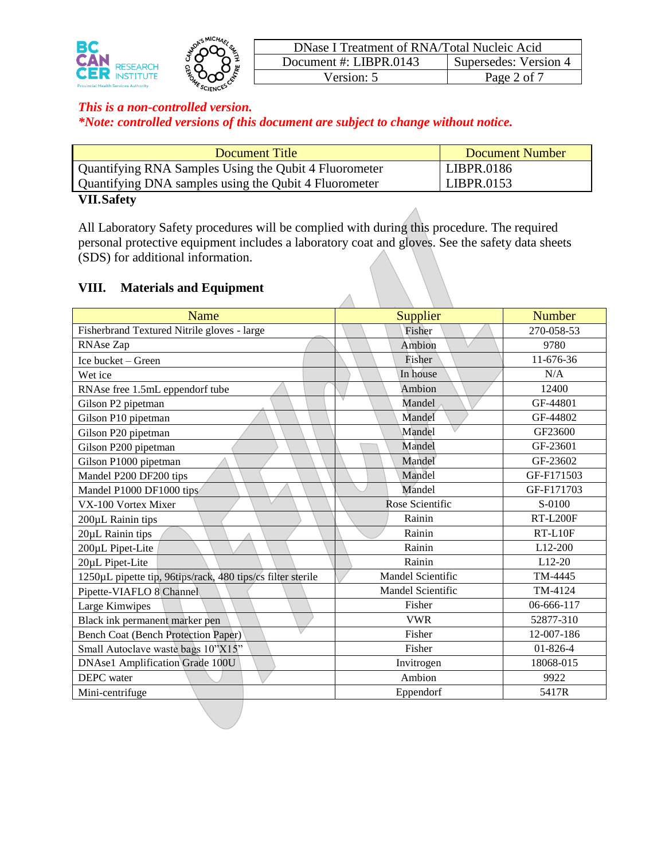



| DNase I Treatment of RNA/Total Nucleic Acid |                       |  |  |  |  |  |
|---------------------------------------------|-----------------------|--|--|--|--|--|
| Document #: LIBPR.0143                      | Supersedes: Version 4 |  |  |  |  |  |
| Version: 5                                  | Page 2 of 7           |  |  |  |  |  |

| Document Title                                        | Document Number |
|-------------------------------------------------------|-----------------|
| Quantifying RNA Samples Using the Qubit 4 Fluorometer | LIBPR.0186      |
| Quantifying DNA samples using the Qubit 4 Fluorometer | LIBPR.0153      |
| TTTT A A                                              |                 |

#### **VII.Safety**

All Laboratory Safety procedures will be complied with during this procedure. The required personal protective equipment includes a laboratory coat and gloves. See the safety data sheets (SDS) for additional information.

 $\triangle$ 

### **VIII. Materials and Equipment**

| <b>Name</b>                                                 | Supplier          | <b>Number</b>   |  |
|-------------------------------------------------------------|-------------------|-----------------|--|
| Fisherbrand Textured Nitrile gloves - large                 | Fisher            | 270-058-53      |  |
| RNAse Zap                                                   | Ambion            | 9780            |  |
| Ice bucket - Green                                          | Fisher            | 11-676-36       |  |
| Wet ice                                                     | In house          | N/A             |  |
| RNAse free 1.5mL eppendorf tube                             | Ambion            | 12400           |  |
| Gilson P2 pipetman                                          | Mandel            | GF-44801        |  |
| Gilson P10 pipetman                                         | Mandel            | GF-44802        |  |
| Gilson P20 pipetman                                         | Mandel            | GF23600         |  |
| Gilson P200 pipetman                                        | Mandel            | GF-23601        |  |
| Gilson P1000 pipetman                                       | Mandel            | GF-23602        |  |
| Mandel P200 DF200 tips                                      | Mandel            | GF-F171503      |  |
| Mandel P1000 DF1000 tips                                    | Mandel            | GF-F171703      |  |
| VX-100 Vortex Mixer                                         | Rose Scientific   | S-0100          |  |
| 200µL Rainin tips                                           | Rainin            | <b>RT-L200F</b> |  |
| 20µL Rainin tips                                            | Rainin            | $RT-L10F$       |  |
| 200µL Pipet-Lite                                            | Rainin            | L12-200         |  |
| 20µL Pipet-Lite                                             | Rainin            | $L12-20$        |  |
| 1250µL pipette tip, 96tips/rack, 480 tips/cs filter sterile | Mandel Scientific | TM-4445         |  |
| Pipette-VIAFLO 8 Channel                                    | Mandel Scientific | TM-4124         |  |
| Large Kimwipes                                              | Fisher            | 06-666-117      |  |
| Black ink permanent marker pen                              | <b>VWR</b>        | 52877-310       |  |
| <b>Bench Coat (Bench Protection Paper)</b>                  | Fisher            | 12-007-186      |  |
| Small Autoclave waste bags 10"X15"                          | Fisher            | $01 - 826 - 4$  |  |
| <b>DNAse1 Amplification Grade 100U</b>                      | Invitrogen        | 18068-015       |  |
| <b>DEPC</b> water                                           | Ambion            | 9922            |  |
| Mini-centrifuge                                             | Eppendorf         | 5417R           |  |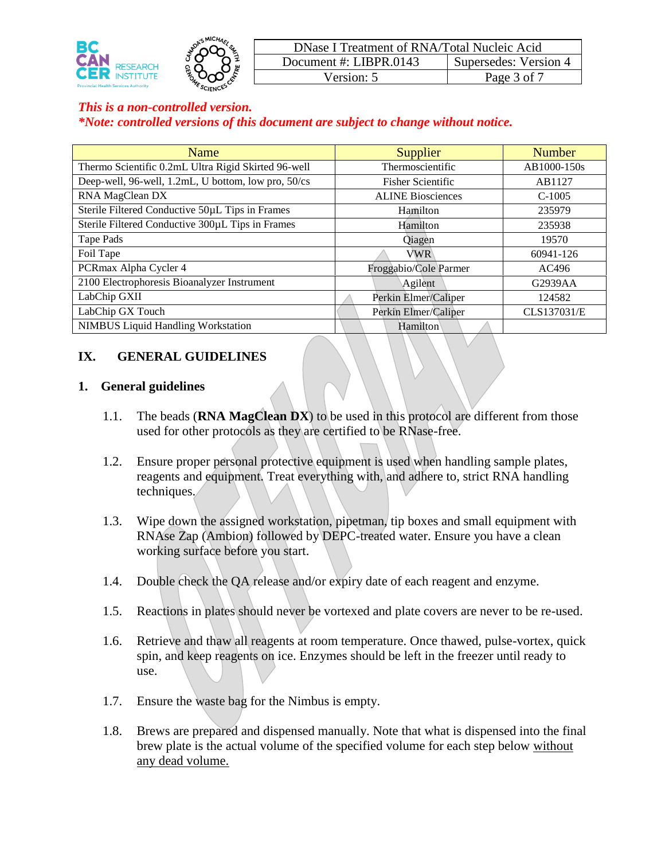



| DNase I Treatment of RNA/Total Nucleic Acid |                       |  |  |  |  |  |
|---------------------------------------------|-----------------------|--|--|--|--|--|
| Document #: $LIBPR.0143$                    | Supersedes: Version 4 |  |  |  |  |  |
| Version: 5                                  | Page 3 of 7           |  |  |  |  |  |

| Name                                                | Supplier                 | <b>Number</b> |  |
|-----------------------------------------------------|--------------------------|---------------|--|
| Thermo Scientific 0.2mL Ultra Rigid Skirted 96-well | Thermoscientific         | AB1000-150s   |  |
| Deep-well, 96-well, 1.2mL, U bottom, low pro, 50/cs | <b>Fisher Scientific</b> | AB1127        |  |
| RNA MagClean DX                                     | <b>ALINE Biosciences</b> | $C-1005$      |  |
| Sterile Filtered Conductive 50µL Tips in Frames     | Hamilton                 | 235979        |  |
| Sterile Filtered Conductive 300µL Tips in Frames    | Hamilton                 | 235938        |  |
| Tape Pads                                           | Qiagen                   | 19570         |  |
| Foil Tape                                           | <b>VWR</b>               | 60941-126     |  |
| PCRmax Alpha Cycler 4                               | Froggabio/Cole Parmer    | AC496         |  |
| 2100 Electrophoresis Bioanalyzer Instrument         | Agilent                  | G2939AA       |  |
| LabChip GXII                                        | Perkin Elmer/Caliper     | 124582        |  |
| LabChip GX Touch                                    | Perkin Elmer/Caliper     | CLS137031/E   |  |
| <b>NIMBUS Liquid Handling Workstation</b>           | Hamilton                 |               |  |

### **IX. GENERAL GUIDELINES**

#### **1. General guidelines**

- 1.1. The beads (**RNA MagClean DX**) to be used in this protocol are different from those used for other protocols as they are certified to be RNase-free.
- 1.2. Ensure proper personal protective equipment is used when handling sample plates, reagents and equipment. Treat everything with, and adhere to, strict RNA handling techniques.
- 1.3. Wipe down the assigned workstation, pipetman, tip boxes and small equipment with RNAse Zap (Ambion) followed by DEPC-treated water. Ensure you have a clean working surface before you start.
- 1.4. Double check the QA release and/or expiry date of each reagent and enzyme.
- 1.5. Reactions in plates should never be vortexed and plate covers are never to be re-used.
- 1.6. Retrieve and thaw all reagents at room temperature. Once thawed, pulse-vortex, quick spin, and keep reagents on ice. Enzymes should be left in the freezer until ready to use.
- 1.7. Ensure the waste bag for the Nimbus is empty.
- 1.8. Brews are prepared and dispensed manually. Note that what is dispensed into the final brew plate is the actual volume of the specified volume for each step below without any dead volume.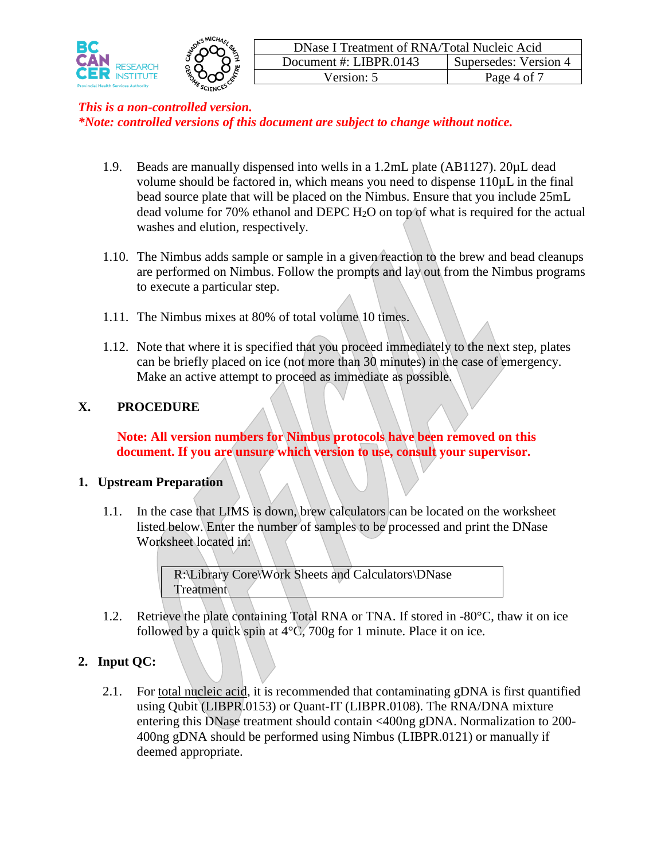



- 1.9. Beads are manually dispensed into wells in a 1.2mL plate (AB1127). 20µL dead volume should be factored in, which means you need to dispense 110µL in the final bead source plate that will be placed on the Nimbus. Ensure that you include 25mL dead volume for 70% ethanol and DEPC  $H_2O$  on top of what is required for the actual washes and elution, respectively.
- 1.10. The Nimbus adds sample or sample in a given reaction to the brew and bead cleanups are performed on Nimbus. Follow the prompts and lay out from the Nimbus programs to execute a particular step.
- 1.11. The Nimbus mixes at 80% of total volume 10 times.
- 1.12. Note that where it is specified that you proceed immediately to the next step, plates can be briefly placed on ice (not more than 30 minutes) in the case of emergency. Make an active attempt to proceed as immediate as possible.

### **X. PROCEDURE**

**Note: All version numbers for Nimbus protocols have been removed on this document. If you are unsure which version to use, consult your supervisor.**

#### **1. Upstream Preparation**

1.1. In the case that LIMS is down, brew calculators can be located on the worksheet listed below. Enter the number of samples to be processed and print the DNase Worksheet located in:

> R:\Library Core\Work Sheets and Calculators\DNase **Treatment**

1.2. Retrieve the plate containing Total RNA or TNA. If stored in -80°C, thaw it on ice followed by a quick spin at  $4^{\circ}$ C, 700g for 1 minute. Place it on ice.

### **2. Input QC:**

2.1. For total nucleic acid, it is recommended that contaminating gDNA is first quantified using Qubit (LIBPR.0153) or Quant-IT (LIBPR.0108). The RNA/DNA mixture entering this DNase treatment should contain <400ng gDNA. Normalization to 200- 400ng gDNA should be performed using Nimbus (LIBPR.0121) or manually if deemed appropriate.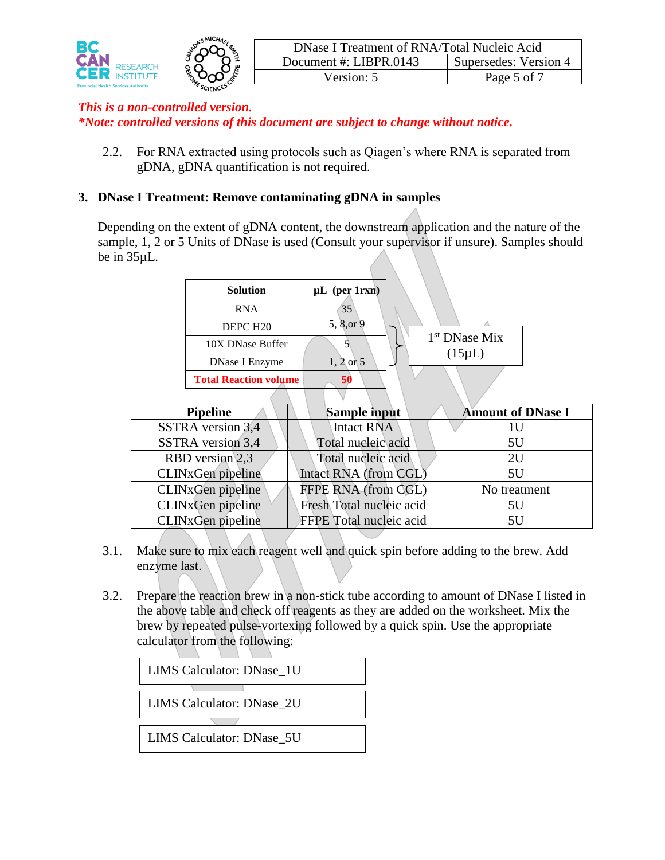

2.2. For RNA extracted using protocols such as Qiagen's where RNA is separated from gDNA, gDNA quantification is not required.

### **3. DNase I Treatment: Remove contaminating gDNA in samples**

Depending on the extent of gDNA content, the downstream application and the nature of the sample, 1, 2 or 5 Units of DNase is used (Consult your supervisor if unsure). Samples should be in 35µL.

| <b>Solution</b>              | $\mu L$ (per 1rxn) |                           |
|------------------------------|--------------------|---------------------------|
| <b>RNA</b>                   | 35                 |                           |
| DEPC H <sub>20</sub>         | 5, 8, or 9         |                           |
| 10X DNase Buffer             |                    | 1 <sup>st</sup> DNase Mix |
| DNase I Enzyme               | $1, 2$ or 5        | $(15 \mu L)$              |
| <b>Total Reaction volume</b> | 50                 |                           |
|                              |                    |                           |

| <b>Pipeline</b>   | Sample input             | <b>Amount of DNase I</b> |
|-------------------|--------------------------|--------------------------|
| SSTRA version 3,4 | Intact RNA               | 1 U                      |
| SSTRA version 3,4 | Total nucleic acid       | 5U                       |
| RBD version 2.3   | Total nucleic acid       | 2U                       |
| CLINxGen pipeline | Intact RNA (from CGL)    | 5U                       |
| CLINxGen pipeline | FFPE RNA (from CGL)      | No treatment             |
| CLINxGen pipeline | Fresh Total nucleic acid | 5U                       |
| CLINxGen pipeline | FFPE Total nucleic acid  | 5U                       |

- 3.1. Make sure to mix each reagent well and quick spin before adding to the brew. Add enzyme last.
- 3.2. Prepare the reaction brew in a non-stick tube according to amount of DNase I listed in the above table and check off reagents as they are added on the worksheet. Mix the brew by repeated pulse-vortexing followed by a quick spin. Use the appropriate calculator from the following:

LIMS Calculator: DNase\_1U

LIMS Calculator: DNase\_2U

LIMS Calculator: DNase\_5U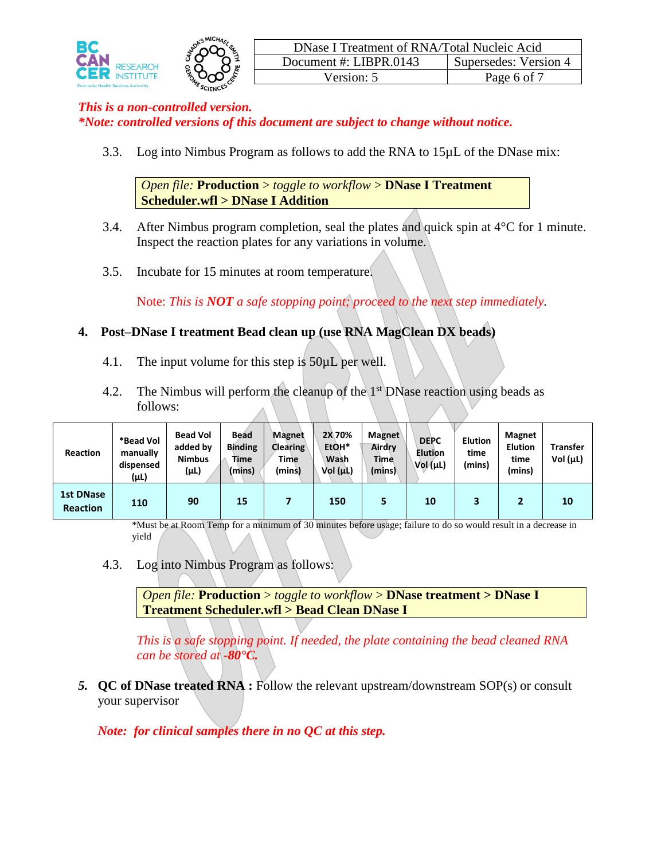



3.3. Log into Nimbus Program as follows to add the RNA to 15µL of the DNase mix:

*Open file:* **Production** > *toggle to workflow* > **DNase I Treatment Scheduler.wfl > DNase I Addition**

- 3.4. After Nimbus program completion, seal the plates and quick spin at  $4^{\circ}$ C for 1 minute. Inspect the reaction plates for any variations in volume.
- 3.5. Incubate for 15 minutes at room temperature.

Note: *This is NOT a safe stopping point; proceed to the next step immediately.*

## **4. Post–DNase I treatment Bead clean up (use RNA MagClean DX beads)**

- 4.1. The input volume for this step is 50µL per well.
- 4.2. The Nimbus will perform the cleanup of the  $1<sup>st</sup>$  DNase reaction using beads as follows:

| <b>Reaction</b>                     | *Bead Vol<br>manually<br>dispensed<br>(µL) | <b>Bead Vol</b><br>added by<br><b>Nimbus</b><br>(µL) | <b>Bead</b><br><b>Binding</b><br>Time<br>(mins) | Magnet<br><b>Clearing</b><br><b>Time</b><br>(mins) | <b>2X70%</b><br>EtOH*<br>Wash<br>Vol (µL) | <b>Magnet</b><br>Airdry<br>Time<br>(mins) | <b>DEPC</b><br><b>Elution</b><br>$Vol(\mu L)$ | <b>Elution</b><br>time<br>(mins) | <b>Magnet</b><br><b>Elution</b><br>time<br>(mins) | <b>Transfer</b><br>Vol $(\mu L)$ |
|-------------------------------------|--------------------------------------------|------------------------------------------------------|-------------------------------------------------|----------------------------------------------------|-------------------------------------------|-------------------------------------------|-----------------------------------------------|----------------------------------|---------------------------------------------------|----------------------------------|
| <b>1st DNase</b><br><b>Reaction</b> | 110                                        | 90                                                   | 15                                              |                                                    | 150                                       | 5                                         | 10                                            |                                  |                                                   | 10                               |

\*Must be at Room Temp for a minimum of 30 minutes before usage; failure to do so would result in a decrease in yield

4.3. Log into Nimbus Program as follows:

*Open file:* **Production** > *toggle to workflow* > **DNase treatment > DNase I Treatment Scheduler.wfl > Bead Clean DNase I**

*This is a safe stopping point. If needed, the plate containing the bead cleaned RNA can be stored at -80°C.*

*5.* **QC of DNase treated RNA :** Follow the relevant upstream/downstream SOP(s) or consult your supervisor

*Note: for clinical samples there in no QC at this step.*